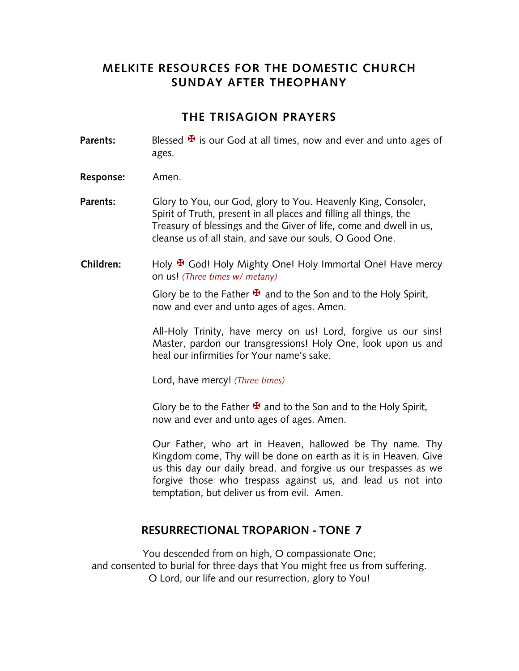## **MELKITE RESOURCES FOR THE DOMESTIC CHURCH SUNDAY AFTER THEOPHANY**

#### **THE TRISAGION PRAYERS**

- **Parents:** Blessed  $\mathbf{\mathbf{\mathbf{\Psi}}}$  is our God at all times, now and ever and unto ages of ages.
- **Response:** Amen.
- Parents: Glory to You, our God, glory to You. Heavenly King, Consoler, Spirit of Truth, present in all places and filling all things, the Treasury of blessings and the Giver of life, come and dwell in us, cleanse us of all stain, and save our souls, O Good One.
- **Children:** Holy <sup>★</sup> God! Holy Mighty One! Holy Immortal One! Have mercy on us! *(Three times w/ metany)*

Glory be to the Father  $\mathbf{\Psi}$  and to the Son and to the Holy Spirit, now and ever and unto ages of ages. Amen.

All-Holy Trinity, have mercy on us! Lord, forgive us our sins! Master, pardon our transgressions! Holy One, look upon us and heal our infirmities for Your name's sake.

Lord, have mercy! *(Three times)*

Glory be to the Father  $\mathbf{\Sigma}$  and to the Son and to the Holy Spirit, now and ever and unto ages of ages. Amen.

Our Father, who art in Heaven, hallowed be Thy name. Thy Kingdom come, Thy will be done on earth as it is in Heaven. Give us this day our daily bread, and forgive us our trespasses as we forgive those who trespass against us, and lead us not into temptation, but deliver us from evil. Amen.

### **RESURRECTIONAL TROPARION - TONE 7**

You descended from on high, O compassionate One; and consented to burial for three days that You might free us from suffering. O Lord, our life and our resurrection, glory to You!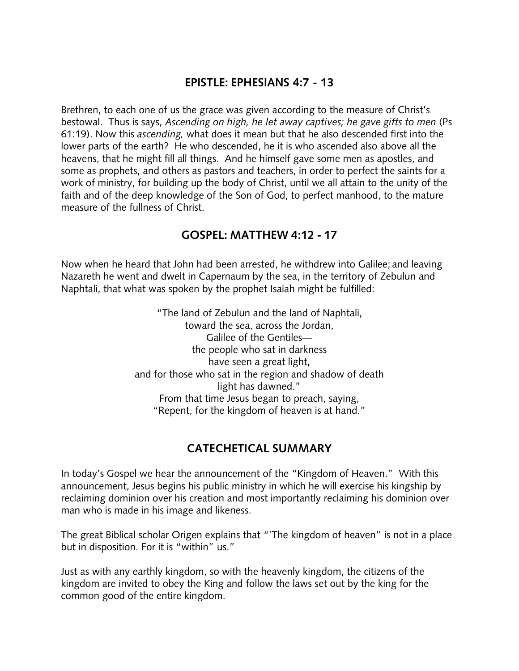### **EPISTLE: EPHESIANS 4:7 - 13**

Brethren, to each one of us the grace was given according to the measure of Christ's bestowal. Thus is says, *Ascending on high, he let away captives; he gave gifts to men* (Ps 61:19). Now this *ascending,* what does it mean but that he also descended first into the lower parts of the earth? He who descended, he it is who ascended also above all the heavens, that he might fill all things. And he himself gave some men as apostles, and some as prophets, and others as pastors and teachers, in order to perfect the saints for a work of ministry, for building up the body of Christ, until we all attain to the unity of the faith and of the deep knowledge of the Son of God, to perfect manhood, to the mature measure of the fullness of Christ.

### **GOSPEL: MATTHEW 4:12 - 17**

Now when he heard that John had been arrested, he withdrew into Galilee; and leaving Nazareth he went and dwelt in Capernaum by the sea, in the territory of Zebulun and Naphtali, that what was spoken by the prophet Isaiah might be fulfilled:

> "The land of Zebulun and the land of Naphtali, toward the sea, across the Jordan, Galilee of the Gentiles the people who sat in darkness have seen a great light, and for those who sat in the region and shadow of death light has dawned." From that time Jesus began to preach, saying, "Repent, for the kingdom of heaven is at hand."

# **CATECHETICAL SUMMARY**

In today's Gospel we hear the announcement of the "Kingdom of Heaven." With this announcement, Jesus begins his public ministry in which he will exercise his kingship by reclaiming dominion over his creation and most importantly reclaiming his dominion over man who is made in his image and likeness.

The great Biblical scholar Origen explains that "'The kingdom of heaven" is not in a place but in disposition. For it is "within" us."

Just as with any earthly kingdom, so with the heavenly kingdom, the citizens of the kingdom are invited to obey the King and follow the laws set out by the king for the common good of the entire kingdom.